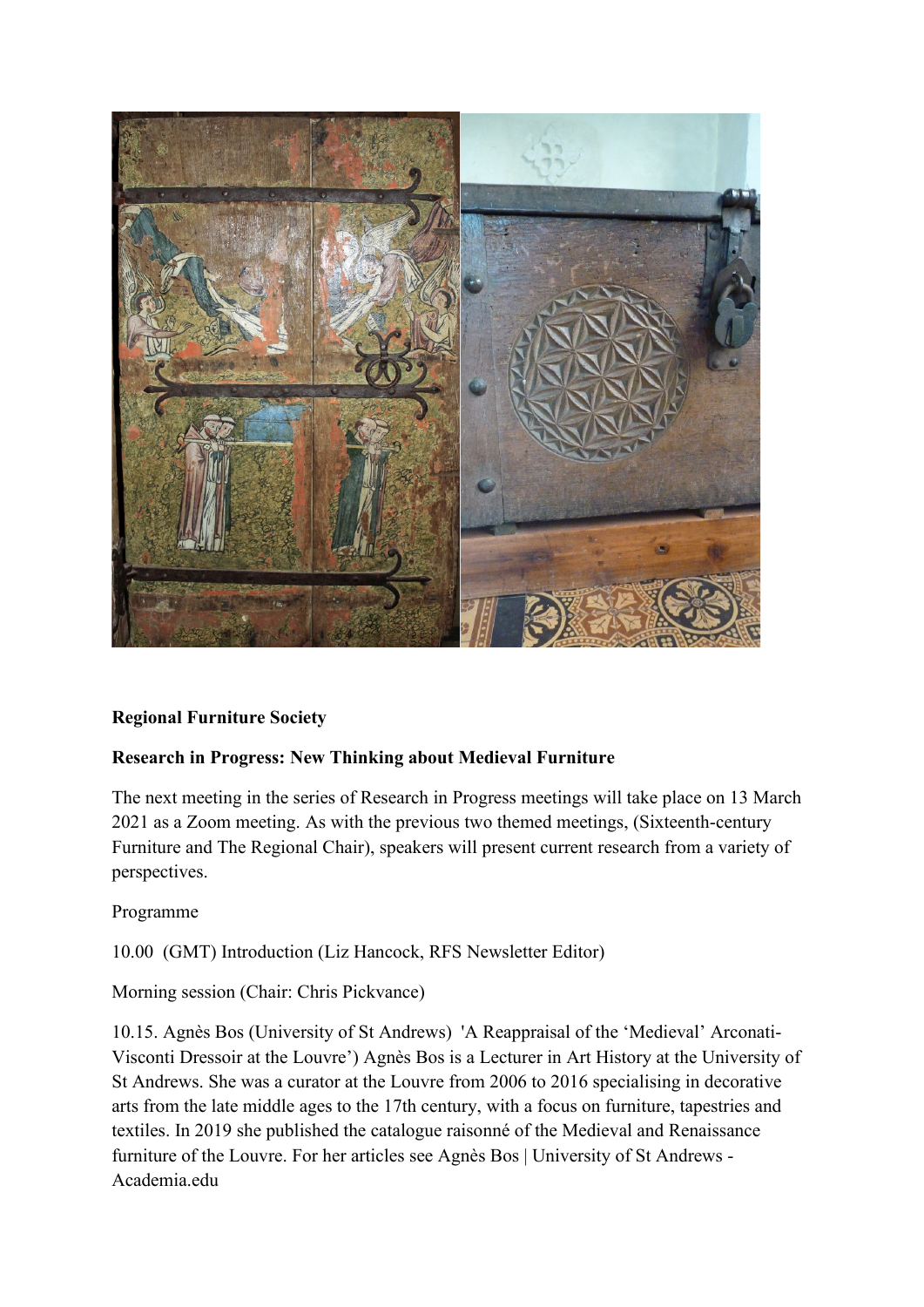

## **Regional Furniture Society**

## **Research in Progress: New Thinking about Medieval Furniture**

The next meeting in the series of Research in Progress meetings will take place on 13 March 2021 as a Zoom meeting. As with the previous two themed meetings, (Sixteenth-century Furniture and The Regional Chair), speakers will present current research from a variety of perspectives.

Programme

10.00 (GMT) Introduction (Liz Hancock, RFS Newsletter Editor)

Morning session (Chair: Chris Pickvance)

10.15. Ag[nès](https://www.st-andrews.ac.uk/art-history/people/ab421) Bos (University of St Andrews) 'A Reappraisal of the 'Medieval' Arconati-Visconti Dressoir at the Louvre') Agnès Bos is a Lecturer in Art History at the University of St Andrews. She was a curator at the Louvre from 2006 to 2016 specialising in decorative arts from the late middle ages to the 17th century, with a focus on furniture, tapestries and textiles. In 2019 she published the catalogue raisonné of the Medieval and Renaissance furniture of the Louvre. For her articles see [Agnès Bos | University of St Andrews -](https://st-andrews.academia.edu/AgnesBos) [Academia.edu](https://st-andrews.academia.edu/AgnesBos)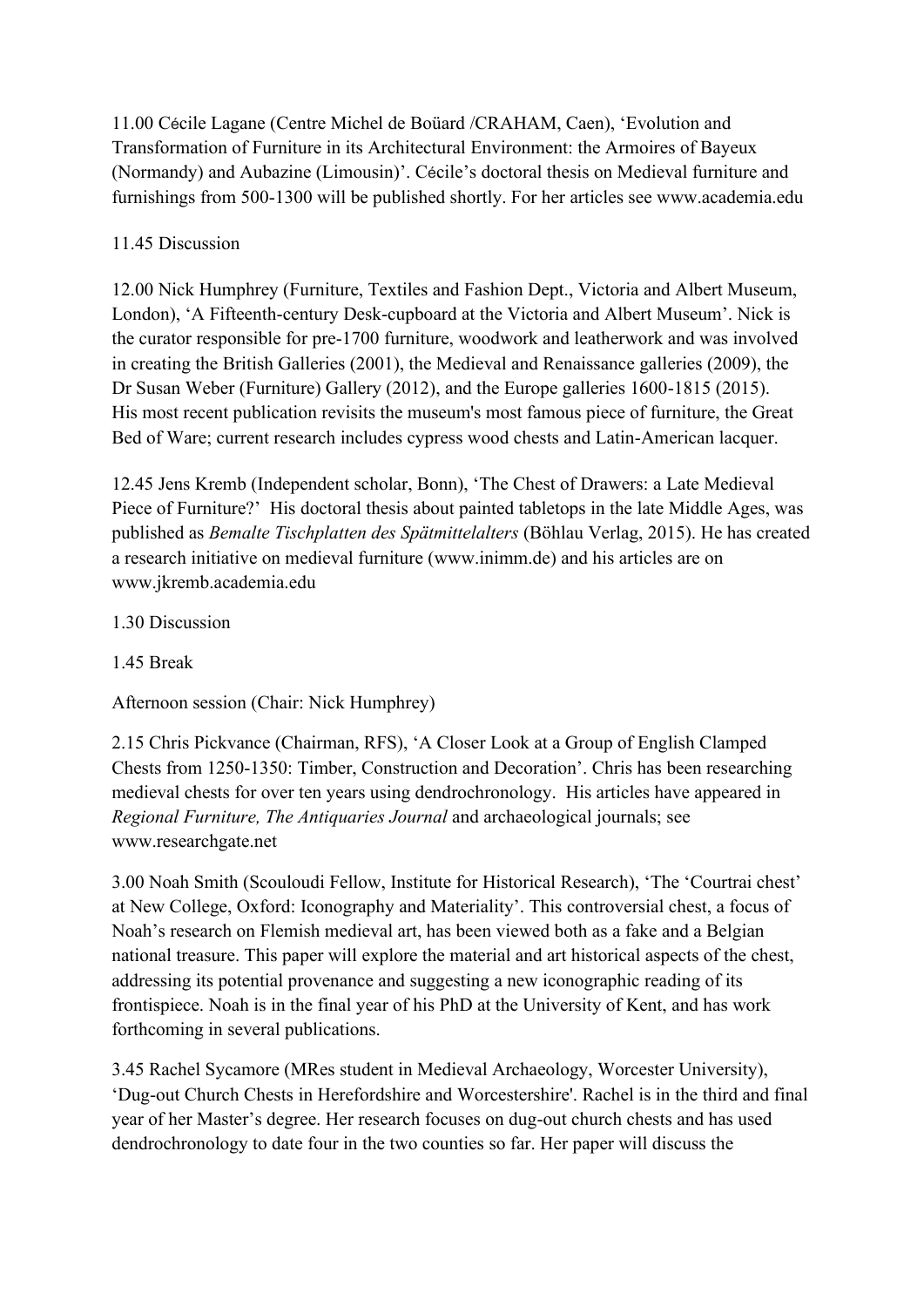11.00 Cécile Lagane (Centre Michel de Boüard /CRAHAM, Caen), 'Evolution and Transformation of Furniture in its Architectural Environment: the Armoires of Bayeux (Normandy) and Aubazine (Limousin)'. Cécile's doctoral thesis on Medieval furniture and furnishings from 500-1300 will be published shortly. For her articles see www.academia.edu

# 11.45 Discussion

12.00 Nick Humphrey (Furniture, Textiles and Fashion Dept., Victoria and Albert Museum, London), 'A Fifteenth-century Desk-cupboard at the Victoria and Albert Museum'. Nick is the curator responsible for pre-1700 furniture, woodwork and leatherwork and was involved in creating the British Galleries (2001), the Medieval and Renaissance galleries (2009), the Dr Susan Weber (Furniture) Gallery (2012), and the Europe galleries 1600-1815 (2015). His most recent publication revisits the museum's most famous piece of furniture, the Great Bed of Ware; current research includes cypress wood chests and Latin-American lacquer.

12.45 Jens Kremb (Independent scholar, Bonn), 'The Chest of Drawers: a Late Medieval Piece of Furniture?' His doctoral thesis about painted tabletops in the late Middle Ages, was published as *Bemalte Tischplatten des Spätmittelalters* (Böhlau Verlag, 2015). He has created a research initiative on medieval furniture [\(www.inimm.de\)](http://www.inimm.de/) and his articles are on www.jkremb.academia.edu

# 1.30 Discussion

1.45 Break

Afternoon session (Chair: Nick Humphrey)

2.15 Chris Pickvance (Chairman, RFS), 'A Closer Look at a Group of English Clamped Chests from 1250-1350: Timber, Construction and Decoration'. Chris has been researching medieval chests for over ten years using dendrochronology. His articles have appeared in *Regional Furniture, The Antiquaries Journal* and archaeological journals; see www.researchgate.net

3.00 Noah Smith (Scouloudi Fellow, Institute for Historical Research), 'The 'Courtrai chest' at New College, Oxford: Iconography and Materiality'. This controversial chest, a focus of Noah's research on Flemish medieval art, has been viewed both as a fake and a Belgian national treasure. This paper will explore the material and art historical aspects of the chest, addressing its potential provenance and suggesting a new iconographic reading of its frontispiece. Noah is in the final year of his PhD at the University of Kent, and has work forthcoming in several publications.

3.45 Rachel Sycamore (MRes student in Medieval Archaeology, Worcester University), 'Dug-out Church Chests in Herefordshire and Worcestershire'. Rachel is in the third and final year of her Master's degree. Her research focuses on dug-out church chests and has used dendrochronology to date four in the two counties so far. Her paper will discuss the